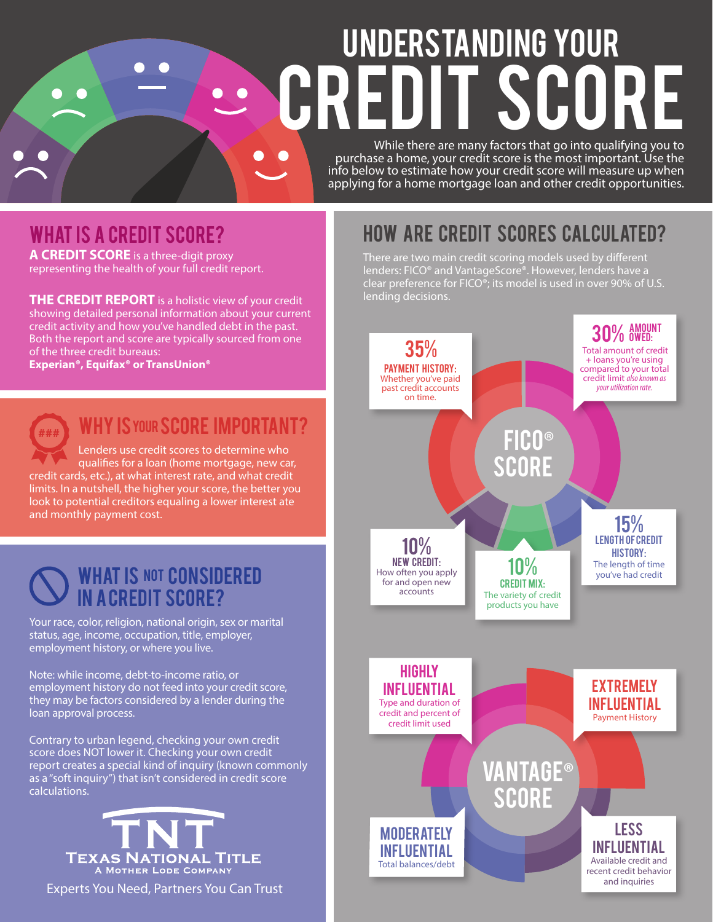# Understanding Your **CREDIT SCORE**

While there are many factors that go into qualifying you to purchase a home, your credit score is the most important. Use the info below to estimate how your credit score will measure up when applying for a home mortgage loan and other credit opportunities.

## WHAT IS A CREDIT SCORE?

**A CREDIT SCORE** is a three-digit proxy representing the health of your full credit report.

**THE CREDIT REPORT** is a holistic view of your credit showing detailed personal information about your current credit activity and how you've handled debt in the past. Both the report and score are typically sourced from one of the three credit bureaus:

**Experian®, Equifax® or TransUnion®**



## WHY IS YOUR SCORE IMPORTANT?

Lenders use credit scores to determine who qualifies for a loan (home mortgage, new car, credit cards, etc.), at what interest rate, and what credit limits. In a nutshell, the higher your score, the better you look to potential creditors equaling a lower interest ate and monthly payment cost.



Your race, color, religion, national origin, sex or marital status, age, income, occupation, title, employer, employment history, or where you live.

Note: while income, debt-to-income ratio, or employment history do not feed into your credit score, they may be factors considered by a lender during the loan approval process.

Contrary to urban legend, checking your own credit score does NOT lower it. Checking your own credit report creates a special kind of inquiry (known commonly as a "soft inquiry") that isn't considered in credit score calculations.



Experts You Need, Partners You Can Trust

## How are credit scores calculated?

There are two main credit scoring models used by different lenders: FICO® and VantageScore®. However, lenders have a clear preference for FICO®; its model is used in over 90% of U.S. lending decisions.